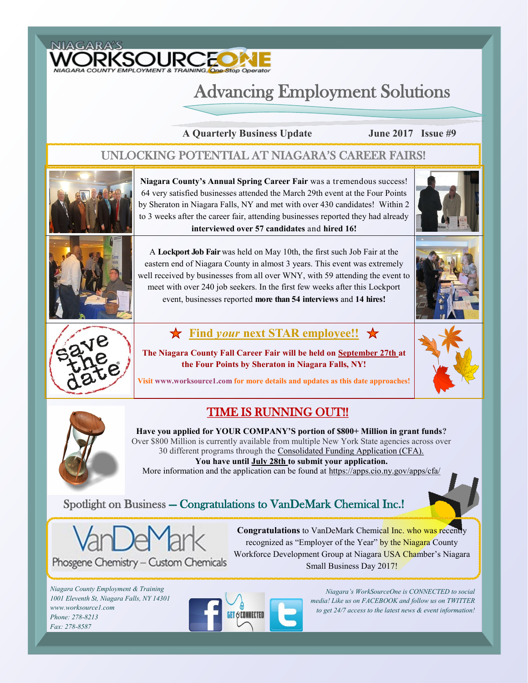

# Advancing Employment Solutions

**A Quarterly Business Update June 2017 Issue #9**

#### UNLOCKING POTENTIAL AT NIAGARA'S CAREER FAIRS!



**Niagara County's Annual Spring Career Fair** was a tremendous success! 64 very satisfied businesses attended the March 29th event at the Four Points by Sheraton in Niagara Falls, NY and met with over 430 candidates! Within 2 to 3 weeks after the career fair, attending businesses reported they had already **interviewed over 57 candidates** and **hired 16!** 





A **Lockport Job Fair** was held on May 10th, the first such Job Fair at the eastern end of Niagara County in almost 3 years. This event was extremely well received by businesses from all over WNY, with 59 attending the event to meet with over 240 job seekers. In the first few weeks after this Lockport event, businesses reported **more than 54 interviews** and **14 hires!** 



#### $\star$  **Find** *your* **next STAR employee!!**

**The Niagara County Fall Career Fair will be held on September 27th at the Four Points by Sheraton in Niagara Falls, NY!** 



**Visit www.worksource1.com for more details and updates as this date approaches!**

### TIME IS RUNNING OUT!!

**Have you applied for YOUR COMPANY'S portion of \$800+ Million in grant funds?**  Over \$800 Million is currently available from multiple New York State agencies across over 30 different programs through the Consolidated Funding Application (CFA). **You have until July 28th to submit your application.** More information and the application can be found at https://apps.cio.ny.gov/apps/cfa/

#### Spotlight on Business — Congratulations to VanDeMark Chemical Inc.!



Phosgene Chemistry - Custom Chemicals

**Congratulations** to VanDeMark Chemical Inc. who was recently recognized as "Employer of the Year" by the Niagara County Workforce Development Group at Niagara USA Chamber's Niagara Small Business Day 2017!

*Niagara County Employment & Training 1001 Eleventh St, Niagara Falls, NY 14301 www.worksource1.com Phone: 278-8213 Fax: 278-8587*



*Niagara's WorkSourceOne is CONNECTED to social media! Like us on FACEBOOK and follow us on TWITTER to get 24/7 access to the latest news & event information!*